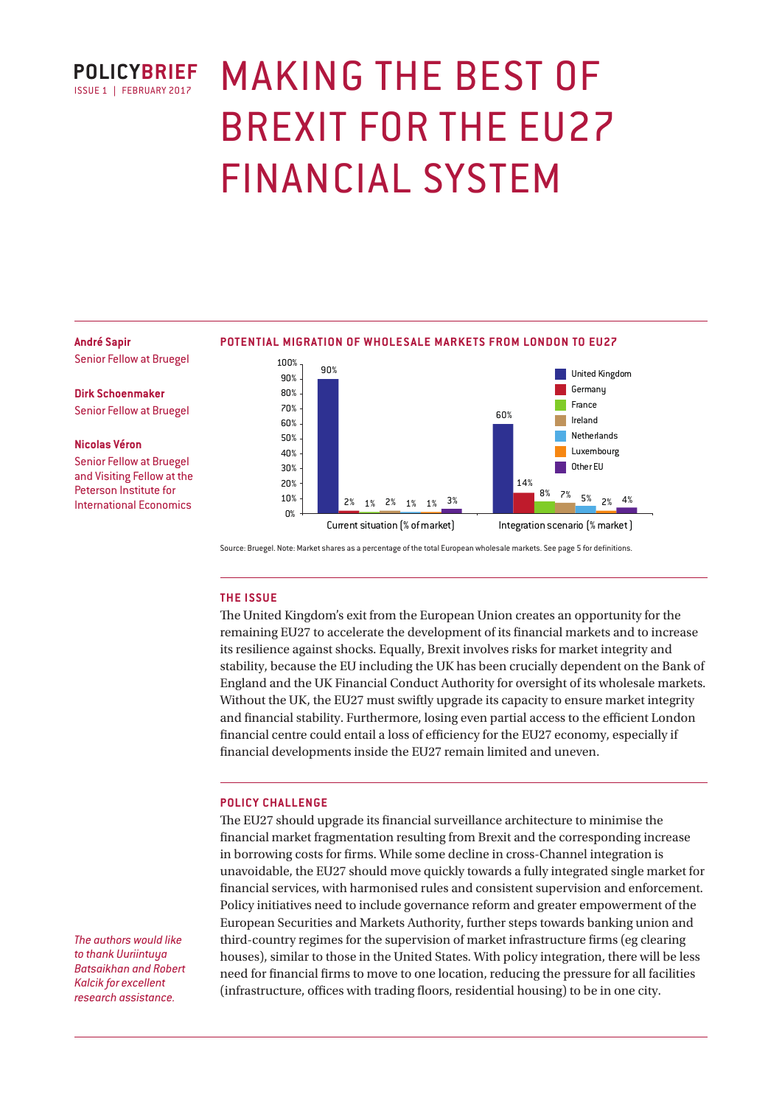

# MAKING THE BEST OF BREXIT FOR THE EU27 FINANCIAL SYSTEM

#### **André Sapir**

Senior Fellow at Bruegel

**Dirk Schoenmaker**

Senior Fellow at Bruegel

#### **Nicolas Véron**

Senior Fellow at Bruegel and Visiting Fellow at the Peterson Institute for International Economics

#### **POTENTIAL MIGRATION OF WHOLESALE MARKETS FROM LONDON TO EU27**



Source: Bruegel. Note: Market shares as a percentage of the total European wholesale markets. See page 5 for definitions.

## **THE ISSUE**

The United Kingdom's exit from the European Union creates an opportunity for the remaining EU27 to accelerate the development of its financial markets and to increase its resilience against shocks. Equally, Brexit involves risks for market integrity and stability, because the EU including the UK has been crucially dependent on the Bank of England and the UK Financial Conduct Authority for oversight of its wholesale markets. Without the UK, the EU27 must swiftly upgrade its capacity to ensure market integrity and financial stability. Furthermore, losing even partial access to the efficient London financial centre could entail a loss of efficiency for the EU27 economy, especially if financial developments inside the EU27 remain limited and uneven.

## **POLICY CHALLENGE**

The EU27 should upgrade its financial surveillance architecture to minimise the financial market fragmentation resulting from Brexit and the corresponding increase in borrowing costs for firms. While some decline in cross-Channel integration is unavoidable, the EU27 should move quickly towards a fully integrated single market for financial services, with harmonised rules and consistent supervision and enforcement. Policy initiatives need to include governance reform and greater empowerment of the European Securities and Markets Authority, further steps towards banking union and third-country regimes for the supervision of market infrastructure firms (eg clearing houses), similar to those in the United States. With policy integration, there will be less need for financial firms to move to one location, reducing the pressure for all facilities (infrastructure, offices with trading floors, residential housing) to be in one city.

*The authors would like to thank Uuriintuya Batsaikhan and Robert Kalcik for excellent research assistance.*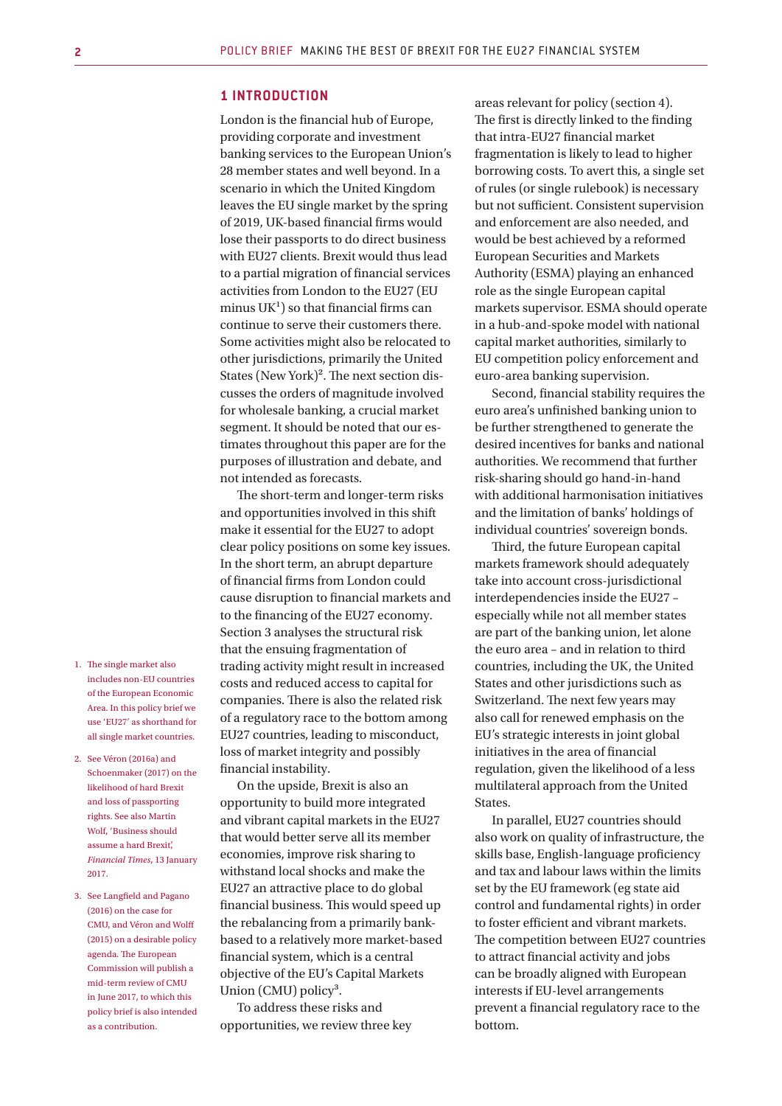## **1 INTRODUCTION**

London is the financial hub of Europe, providing corporate and investment banking services to the European Union's 28 member states and well beyond. In a scenario in which the United Kingdom leaves the EU single market by the spring of 2019, UK-based financial firms would lose their passports to do direct business with EU27 clients. Brexit would thus lead to a partial migration of financial services activities from London to the EU27 (EU minus  $UK<sup>1</sup>$  so that financial firms can continue to serve their customers there. Some activities might also be relocated to other jurisdictions, primarily the United States (New York)². The next section discusses the orders of magnitude involved for wholesale banking, a crucial market segment. It should be noted that our estimates throughout this paper are for the purposes of illustration and debate, and not intended as forecasts.

The short-term and longer-term risks and opportunities involved in this shift make it essential for the EU27 to adopt clear policy positions on some key issues. In the short term, an abrupt departure of financial firms from London could cause disruption to financial markets and to the financing of the EU27 economy. Section 3 analyses the structural risk that the ensuing fragmentation of trading activity might result in increased costs and reduced access to capital for companies. There is also the related risk of a regulatory race to the bottom among EU27 countries, leading to misconduct, loss of market integrity and possibly financial instability.

On the upside, Brexit is also an opportunity to build more integrated and vibrant capital markets in the EU27 that would better serve all its member economies, improve risk sharing to withstand local shocks and make the EU27 an attractive place to do global financial business. This would speed up the rebalancing from a primarily bankbased to a relatively more market-based financial system, which is a central objective of the EU's Capital Markets Union (CMU) policy<sup>3</sup>.

To address these risks and opportunities, we review three key areas relevant for policy (section 4). The first is directly linked to the finding that intra-EU27 financial market fragmentation is likely to lead to higher borrowing costs. To avert this, a single set of rules (or single rulebook) is necessary but not sufficient. Consistent supervision and enforcement are also needed, and would be best achieved by a reformed European Securities and Markets Authority (ESMA) playing an enhanced role as the single European capital markets supervisor. ESMA should operate in a hub-and-spoke model with national capital market authorities, similarly to EU competition policy enforcement and euro-area banking supervision.

Second, financial stability requires the euro area's unfinished banking union to be further strengthened to generate the desired incentives for banks and national authorities. We recommend that further risk-sharing should go hand-in-hand with additional harmonisation initiatives and the limitation of banks' holdings of individual countries' sovereign bonds.

Third, the future European capital markets framework should adequately take into account cross-jurisdictional interdependencies inside the EU27 – especially while not all member states are part of the banking union, let alone the euro area – and in relation to third countries, including the UK, the United States and other jurisdictions such as Switzerland. The next few years may also call for renewed emphasis on the EU's strategic interests in joint global initiatives in the area of financial regulation, given the likelihood of a less multilateral approach from the United States.

In parallel, EU27 countries should also work on quality of infrastructure, the skills base, English-language proficiency and tax and labour laws within the limits set by the EU framework (eg state aid control and fundamental rights) in order to foster efficient and vibrant markets. The competition between EU27 countries to attract financial activity and jobs can be broadly aligned with European interests if EU-level arrangements prevent a financial regulatory race to the bottom.

- 1. The single market also includes non-EU countries of the European Economic Area. In this policy brief we use 'EU27' as shorthand for all single market countries.
- 2. See Véron (2016a) and Schoenmaker (2017) on the likelihood of hard Brexit and loss of passporting rights. See also Martin Wolf, 'Business should assume a hard Brexit', *Financial Times*, 13 January 2017.
- 3. See Langfield and Pagano (2016) on the case for CMU, and Véron and Wolff (2015) on a desirable policy agenda. The European Commission will publish a mid-term review of CMU in June 2017, to which this policy brief is also intended as a contribution.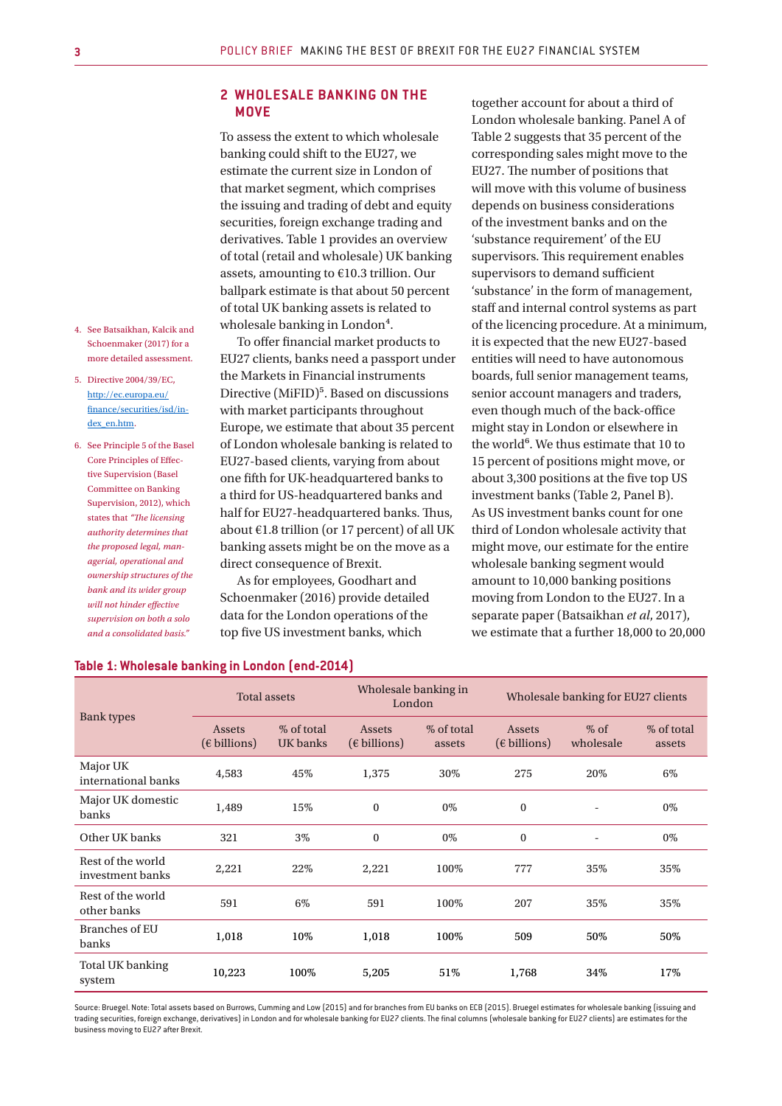# **2 WHOLESALE BANKING ON THE MOVE**

To assess the extent to which wholesale banking could shift to the EU27, we estimate the current size in London of that market segment, which comprises the issuing and trading of debt and equity securities, foreign exchange trading and derivatives. Table 1 provides an overview of total (retail and wholesale) UK banking assets, amounting to €10.3 trillion. Our ballpark estimate is that about 50 percent of total UK banking assets is related to wholesale banking in London<sup>4</sup>.

To offer financial market products to EU27 clients, banks need a passport under the Markets in Financial instruments Directive (MiFID)<sup>5</sup>. Based on discussions with market participants throughout Europe, we estimate that about 35 percent of London wholesale banking is related to EU27-based clients, varying from about one fifth for UK-headquartered banks to a third for US-headquartered banks and half for EU27-headquartered banks. Thus, about  $E1.8$  trillion (or 17 percent) of all UK banking assets might be on the move as a direct consequence of Brexit.

As for employees, Goodhart and Schoenmaker (2016) provide detailed data for the London operations of the top five US investment banks, which

together account for about a third of London wholesale banking. Panel A of Table 2 suggests that 35 percent of the corresponding sales might move to the EU27. The number of positions that will move with this volume of business depends on business considerations of the investment banks and on the 'substance requirement' of the EU supervisors. This requirement enables supervisors to demand sufficient 'substance' in the form of management, staff and internal control systems as part of the licencing procedure. At a minimum, it is expected that the new EU27-based entities will need to have autonomous boards, full senior management teams, senior account managers and traders, even though much of the back-office might stay in London or elsewhere in the world<sup>6</sup>. We thus estimate that 10 to 15 percent of positions might move, or about 3,300 positions at the five top US investment banks (Table 2, Panel B). As US investment banks count for one third of London wholesale activity that might move, our estimate for the entire wholesale banking segment would amount to 10,000 banking positions moving from London to the EU27. In a separate paper (Batsaikhan *et al*, 2017), we estimate that a further 18,000 to 20,000

| <b>Bank</b> types                     | <b>Total assets</b>                    |                        | Wholesale banking in<br>London         |                      | Wholesale banking for EU27 clients     |                          |                      |
|---------------------------------------|----------------------------------------|------------------------|----------------------------------------|----------------------|----------------------------------------|--------------------------|----------------------|
|                                       | <b>Assets</b><br>$(\epsilon$ billions) | % of total<br>UK banks | <b>Assets</b><br>$(\epsilon$ billions) | % of total<br>assets | <b>Assets</b><br>$(\epsilon$ billions) | $%$ of<br>wholesale      | % of total<br>assets |
| Major UK<br>international banks       | 4,583                                  | 45%                    | 1,375                                  | 30%                  | 275                                    | 20%                      | 6%                   |
| Major UK domestic<br>banks            | 1,489                                  | 15%                    | $\mathbf{0}$                           | 0%                   | $\bf{0}$                               | $\overline{\phantom{a}}$ | 0%                   |
| Other UK banks                        | 321                                    | 3%                     | $\bf{0}$                               | 0%                   | $\mathbf{0}$                           | $\overline{\phantom{a}}$ | 0%                   |
| Rest of the world<br>investment banks | 2,221                                  | 22%                    | 2,221                                  | 100%                 | 777                                    | 35%                      | 35%                  |
| Rest of the world<br>other banks      | 591                                    | 6%                     | 591                                    | 100%                 | 207                                    | 35%                      | 35%                  |
| <b>Branches of EU</b><br>banks        | 1,018                                  | 10%                    | 1,018                                  | 100%                 | 509                                    | 50%                      | 50%                  |
| <b>Total UK banking</b><br>system     | 10,223                                 | 100%                   | 5,205                                  | 51%                  | 1,768                                  | 34%                      | 17%                  |

#### **Table 1: Wholesale banking in London (end-2014)**

Source: Bruegel. Note: Total assets based on Burrows, Cumming and Low (2015) and for branches from EU banks on ECB (2015). Bruegel estimates for wholesale banking (issuing and trading securities, foreign exchange, derivatives) in London and for wholesale banking for EU27 clients. The final columns (wholesale banking for EU27 clients) are estimates for the business moving to EU27 after Brexit.

- 4. See Batsaikhan, Kalcik and Schoenmaker (2017) for a more detailed assessment.
- 5. Directive 2004/39/EC, http://ec.europa.eu/ finance/securities/isd/index\_en.htm.
- 6. See Principle 5 of the Basel Core Principles of Effective Supervision (Basel Committee on Banking Supervision, 2012), which states that *"The licensing authority determines that the proposed legal, managerial, operational and ownership structures of the bank and its wider group will not hinder effective supervision on both a solo and a consolidated basis."*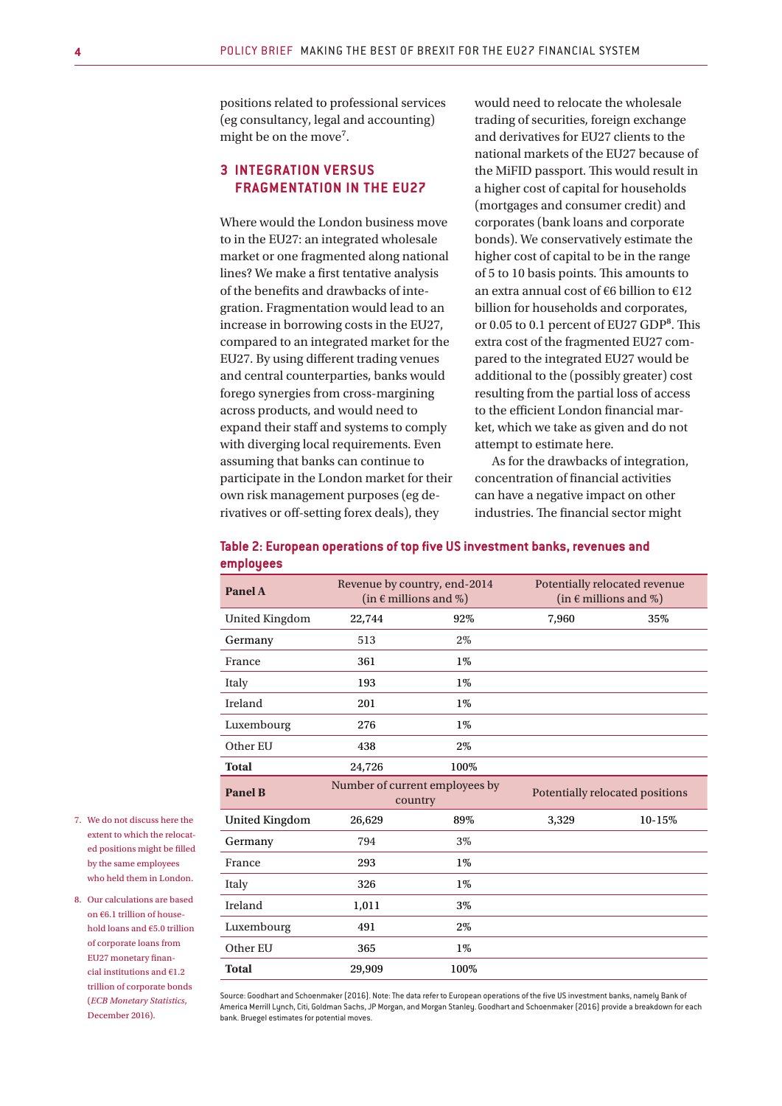positions related to professional services (eg consultancy, legal and accounting) might be on the move<sup>7</sup>.

# **3 INTEGRATION VERSUS FRAGMENTATION IN THE EU27**

Where would the London business move to in the EU27: an integrated wholesale market or one fragmented along national lines? We make a first tentative analysis of the benefits and drawbacks of integration. Fragmentation would lead to an increase in borrowing costs in the EU27, compared to an integrated market for the EU27. By using different trading venues and central counterparties, banks would forego synergies from cross-margining across products, and would need to expand their staff and systems to comply with diverging local requirements. Even assuming that banks can continue to participate in the London market for their own risk management purposes (eg derivatives or off-setting forex deals), they

would need to relocate the wholesale trading of securities, foreign exchange and derivatives for EU27 clients to the national markets of the EU27 because of the MiFID passport. This would result in a higher cost of capital for households (mortgages and consumer credit) and corporates (bank loans and corporate bonds). We conservatively estimate the higher cost of capital to be in the range of 5 to 10 basis points. This amounts to an extra annual cost of €6 billion to €12 billion for households and corporates, or 0.05 to 0.1 percent of EU27 GDP<sup>8</sup>. This extra cost of the fragmented EU27 compared to the integrated EU27 would be additional to the (possibly greater) cost resulting from the partial loss of access to the efficient London financial market, which we take as given and do not attempt to estimate here.

As for the drawbacks of integration, concentration of financial activities can have a negative impact on other industries. The financial sector might

| Table 2: European operations of top five US investment banks, revenues and |  |
|----------------------------------------------------------------------------|--|
| employees                                                                  |  |

| Panel A               |                                           | Revenue by country, end-2014<br>(in $\epsilon$ millions and %) | Potentially relocated revenue<br>(in $\epsilon$ millions and %) |        |  |
|-----------------------|-------------------------------------------|----------------------------------------------------------------|-----------------------------------------------------------------|--------|--|
| <b>United Kingdom</b> | 22,744                                    | 92%                                                            | 7,960                                                           | 35%    |  |
| Germany               | 513                                       | 2%                                                             |                                                                 |        |  |
| France                | 361                                       | $1\%$                                                          |                                                                 |        |  |
| Italy                 | 193                                       | $1\%$                                                          |                                                                 |        |  |
| Ireland               | 201                                       | $1\%$                                                          |                                                                 |        |  |
| Luxembourg            | 276                                       | $1\%$                                                          |                                                                 |        |  |
| Other EU              | 438                                       | 2%                                                             |                                                                 |        |  |
| <b>Total</b>          | 24,726                                    | 100%                                                           |                                                                 |        |  |
| <b>Panel B</b>        | Number of current employees by<br>country |                                                                | Potentially relocated positions                                 |        |  |
| <b>United Kingdom</b> | 26,629                                    | 89%                                                            | 3,329                                                           | 10-15% |  |
| Germany               | 794                                       | 3%                                                             |                                                                 |        |  |
| France                | 293                                       | $1\%$                                                          |                                                                 |        |  |
| Italy                 | 326                                       | $1\%$                                                          |                                                                 |        |  |
| Ireland               | 1,011                                     | 3%                                                             |                                                                 |        |  |
| Luxembourg            | 491                                       | 2%                                                             |                                                                 |        |  |
| Other EU              | 365                                       | $1\%$                                                          |                                                                 |        |  |
| <b>Total</b>          | 29,909                                    | 100%                                                           |                                                                 |        |  |

Source: Goodhart and Schoenmaker (2016). Note: The data refer to European operations of the five US investment banks, namely Bank of America Merrill Lynch, Citi, Goldman Sachs, JP Morgan, and Morgan Stanley. Goodhart and Schoenmaker (2016) provide a breakdown for each bank. Bruegel estimates for potential moves.

7. We do not discuss here the extent to which the relocated positions might be filled by the same employees who held them in London.

8. Our calculations are based on €6.1 trillion of household loans and €5.0 trillion of corporate loans from EU27 monetary financial institutions and €1.2 trillion of corporate bonds (*ECB Monetary Statistics*, December 2016).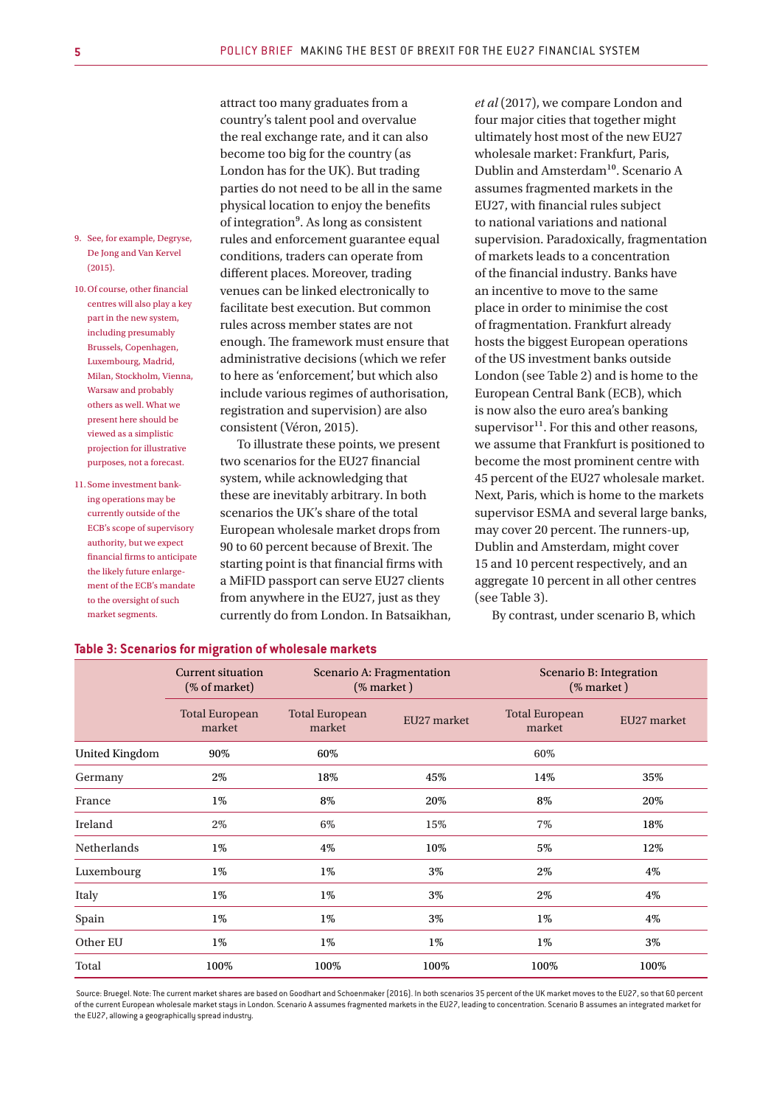- 9. See, for example, Degryse, De Jong and Van Kervel (2015).
- 10.Of course, other financial centres will also play a key part in the new system, including presumably Brussels, Copenhagen, Luxembourg, Madrid, Milan, Stockholm, Vienna, Warsaw and probably others as well. What we present here should be viewed as a simplistic projection for illustrative purposes, not a forecast.
- 11. Some investment banking operations may be currently outside of the ECB's scope of supervisory authority, but we expect financial firms to anticipate the likely future enlargement of the ECB's mandate to the oversight of such market segments.

attract too many graduates from a country's talent pool and overvalue the real exchange rate, and it can also become too big for the country (as London has for the UK). But trading parties do not need to be all in the same physical location to enjoy the benefits of integration⁹. As long as consistent rules and enforcement guarantee equal conditions, traders can operate from different places. Moreover, trading venues can be linked electronically to facilitate best execution. But common rules across member states are not enough. The framework must ensure that administrative decisions (which we refer to here as 'enforcement', but which also include various regimes of authorisation, registration and supervision) are also consistent (Véron, 2015).

To illustrate these points, we present two scenarios for the EU27 financial system, while acknowledging that these are inevitably arbitrary. In both scenarios the UK's share of the total European wholesale market drops from 90 to 60 percent because of Brexit. The starting point is that financial firms with a MiFID passport can serve EU27 clients from anywhere in the EU27, just as they currently do from London. In Batsaikhan, *et al* (2017), we compare London and four major cities that together might ultimately host most of the new EU27 wholesale market: Frankfurt, Paris, Dublin and Amsterdam<sup>10</sup>. Scenario A assumes fragmented markets in the EU27, with financial rules subject to national variations and national supervision. Paradoxically, fragmentation of markets leads to a concentration of the financial industry. Banks have an incentive to move to the same place in order to minimise the cost of fragmentation. Frankfurt already hosts the biggest European operations of the US investment banks outside London (see Table 2) and is home to the European Central Bank (ECB), which is now also the euro area's banking supervisor $^{11}$ . For this and other reasons, we assume that Frankfurt is positioned to become the most prominent centre with 45 percent of the EU27 wholesale market. Next, Paris, which is home to the markets supervisor ESMA and several large banks, may cover 20 percent. The runners-up, Dublin and Amsterdam, might cover 15 and 10 percent respectively, and an aggregate 10 percent in all other centres (see Table 3).

By contrast, under scenario B, which

|                       | <b>Current situation</b><br>(% of market) | Scenario A: Fragmentation<br>(% market) |             | Scenario B: Integration<br>(% market) |             |
|-----------------------|-------------------------------------------|-----------------------------------------|-------------|---------------------------------------|-------------|
|                       | <b>Total European</b><br>market           | <b>Total European</b><br>market         | EU27 market | <b>Total European</b><br>market       | EU27 market |
| <b>United Kingdom</b> | 90%                                       | 60%                                     |             | 60%                                   |             |
| Germany               | 2%                                        | 18%                                     | 45%         | 14%                                   | 35%         |
| France                | 1%                                        | 8%                                      | 20%         | 8%                                    | 20%         |
| Ireland               | 2%                                        | 6%                                      | 15%         | 7%                                    | 18%         |
| <b>Netherlands</b>    | 1%                                        | 4%                                      | 10%         | 5%                                    | 12%         |
| Luxembourg            | 1%                                        | $1\%$                                   | 3%          | 2%                                    | 4%          |
| Italy                 | 1%                                        | $1\%$                                   | 3%          | 2%                                    | 4%          |
| Spain                 | 1%                                        | $1\%$                                   | 3%          | $1\%$                                 | 4%          |
| Other EU              | 1%                                        | $1\%$                                   | $1\%$       | $1\%$                                 | 3%          |
| Total                 | 100%                                      | 100%                                    | 100%        | 100%                                  | 100%        |

# **Table 3: Scenarios for migration of wholesale markets**

 Source: Bruegel. Note: The current market shares are based on Goodhart and Schoenmaker (2016). In both scenarios 35 percent of the UK market moves to the EU27, so that 60 percent of the current European wholesale market stays in London. Scenario A assumes fragmented markets in the EU27, leading to concentration. Scenario B assumes an integrated market for the EU27, allowing a geographically spread industry.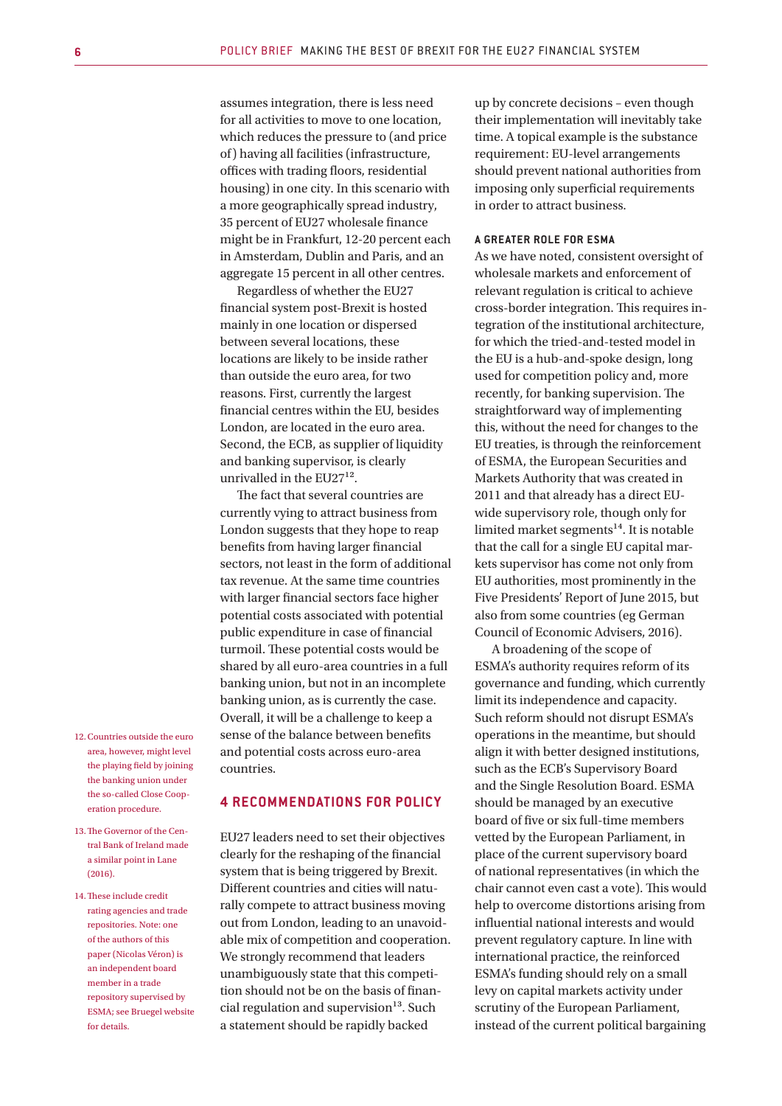assumes integration, there is less need for all activities to move to one location, which reduces the pressure to (and price of) having all facilities (infrastructure, offices with trading floors, residential housing) in one city. In this scenario with a more geographically spread industry, 35 percent of EU27 wholesale finance might be in Frankfurt, 12-20 percent each in Amsterdam, Dublin and Paris, and an aggregate 15 percent in all other centres.

Regardless of whether the EU27 financial system post-Brexit is hosted mainly in one location or dispersed between several locations, these locations are likely to be inside rather than outside the euro area, for two reasons. First, currently the largest financial centres within the EU, besides London, are located in the euro area. Second, the ECB, as supplier of liquidity and banking supervisor, is clearly unrivalled in the  $EU27<sup>12</sup>$ .

The fact that several countries are currently vying to attract business from London suggests that they hope to reap benefits from having larger financial sectors, not least in the form of additional tax revenue. At the same time countries with larger financial sectors face higher potential costs associated with potential public expenditure in case of financial turmoil. These potential costs would be shared by all euro-area countries in a full banking union, but not in an incomplete banking union, as is currently the case. Overall, it will be a challenge to keep a sense of the balance between benefits and potential costs across euro-area countries.

# **4 RECOMMENDATIONS FOR POLICY**

EU27 leaders need to set their objectives clearly for the reshaping of the financial system that is being triggered by Brexit. Different countries and cities will naturally compete to attract business moving out from London, leading to an unavoidable mix of competition and cooperation. We strongly recommend that leaders unambiguously state that this competition should not be on the basis of financial regulation and supervision $13$ . Such a statement should be rapidly backed

up by concrete decisions – even though their implementation will inevitably take time. A topical example is the substance requirement: EU-level arrangements should prevent national authorities from imposing only superficial requirements in order to attract business.

#### **A GREATER ROLE FOR ESMA**

As we have noted, consistent oversight of wholesale markets and enforcement of relevant regulation is critical to achieve cross-border integration. This requires integration of the institutional architecture, for which the tried-and-tested model in the EU is a hub-and-spoke design, long used for competition policy and, more recently, for banking supervision. The straightforward way of implementing this, without the need for changes to the EU treaties, is through the reinforcement of ESMA, the European Securities and Markets Authority that was created in 2011 and that already has a direct EUwide supervisory role, though only for limited market segments $14$ . It is notable that the call for a single EU capital markets supervisor has come not only from EU authorities, most prominently in the Five Presidents' Report of June 2015, but also from some countries (eg German Council of Economic Advisers, 2016).

A broadening of the scope of ESMA's authority requires reform of its governance and funding, which currently limit its independence and capacity. Such reform should not disrupt ESMA's operations in the meantime, but should align it with better designed institutions, such as the ECB's Supervisory Board and the Single Resolution Board. ESMA should be managed by an executive board of five or six full-time members vetted by the European Parliament, in place of the current supervisory board of national representatives (in which the chair cannot even cast a vote). This would help to overcome distortions arising from influential national interests and would prevent regulatory capture. In line with international practice, the reinforced ESMA's funding should rely on a small levy on capital markets activity under scrutiny of the European Parliament, instead of the current political bargaining

- 12.Countries outside the euro area, however, might level the playing field by joining the banking union under the so-called Close Cooperation procedure.
- 13. The Governor of the Central Bank of Ireland made a similar point in Lane (2016).
- 14.These include credit rating agencies and trade repositories. Note: one of the authors of this paper (Nicolas Véron) is an independent board member in a trade repository supervised by ESMA; see Bruegel website for details.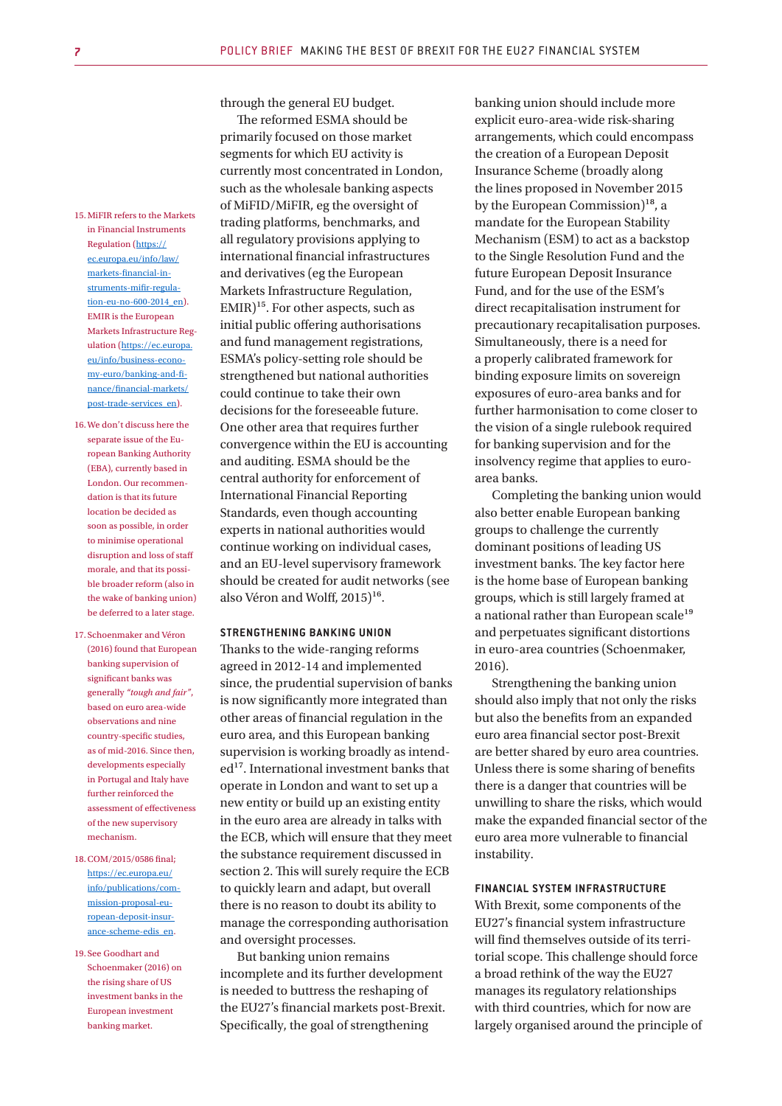15.MiFIR refers to the Markets in Financial Instruments Regulation (https:// ec.europa.eu/info/law/ markets-financial-instruments-mifir-regulation-eu-no-600-2014\_en). EMIR is the European Markets Infrastructure Regulation (https://ec.europa. eu/info/business-economy-euro/banking-and-finance/financial-markets/ post-trade-services\_en).

- 16.We don't discuss here the separate issue of the European Banking Authority (EBA), currently based in London. Our recommendation is that its future location be decided as soon as possible, in order to minimise operational disruption and loss of staff morale, and that its possible broader reform (also in the wake of banking union) be deferred to a later stage.
- 17. Schoenmaker and Véron (2016) found that European banking supervision of significant banks was generally *"tough and fair"*, based on euro area-wide observations and nine country-specific studies, as of mid-2016. Since then, developments especially in Portugal and Italy have further reinforced the assessment of effectiveness of the new supervisory mechanism.
- 18.COM/2015/0586 final; https://ec.europa.eu/ info/publications/commission-proposal-european-deposit-insurance-scheme-edis\_en.
- 19. See Goodhart and Schoenmaker (2016) on the rising share of US investment banks in the European investment banking market.

through the general EU budget.

The reformed ESMA should be primarily focused on those market segments for which EU activity is currently most concentrated in London, such as the wholesale banking aspects of MiFID/MiFIR, eg the oversight of trading platforms, benchmarks, and all regulatory provisions applying to international financial infrastructures and derivatives (eg the European Markets Infrastructure Regulation,  $EMIR$ <sup>15</sup>. For other aspects, such as initial public offering authorisations and fund management registrations, ESMA's policy-setting role should be strengthened but national authorities could continue to take their own decisions for the foreseeable future. One other area that requires further convergence within the EU is accounting and auditing. ESMA should be the central authority for enforcement of International Financial Reporting Standards, even though accounting experts in national authorities would continue working on individual cases, and an EU-level supervisory framework should be created for audit networks (see also Véron and Wolff,  $2015$ <sup>16</sup>.

#### **STRENGTHENING BANKING UNION**

Thanks to the wide-ranging reforms agreed in 2012-14 and implemented since, the prudential supervision of banks is now significantly more integrated than other areas of financial regulation in the euro area, and this European banking supervision is working broadly as intended<sup>17</sup>. International investment banks that operate in London and want to set up a new entity or build up an existing entity in the euro area are already in talks with the ECB, which will ensure that they meet the substance requirement discussed in section 2. This will surely require the ECB to quickly learn and adapt, but overall there is no reason to doubt its ability to manage the corresponding authorisation and oversight processes.

But banking union remains incomplete and its further development is needed to buttress the reshaping of the EU27's financial markets post-Brexit. Specifically, the goal of strengthening

banking union should include more explicit euro-area-wide risk-sharing arrangements, which could encompass the creation of a European Deposit Insurance Scheme (broadly along the lines proposed in November 2015 by the European Commission)<sup>18</sup>, a mandate for the European Stability Mechanism (ESM) to act as a backstop to the Single Resolution Fund and the future European Deposit Insurance Fund, and for the use of the ESM's direct recapitalisation instrument for precautionary recapitalisation purposes. Simultaneously, there is a need for a properly calibrated framework for binding exposure limits on sovereign exposures of euro-area banks and for further harmonisation to come closer to the vision of a single rulebook required for banking supervision and for the insolvency regime that applies to euroarea banks.

Completing the banking union would also better enable European banking groups to challenge the currently dominant positions of leading US investment banks. The key factor here is the home base of European banking groups, which is still largely framed at a national rather than European scale<sup>19</sup> and perpetuates significant distortions in euro-area countries (Schoenmaker, 2016).

Strengthening the banking union should also imply that not only the risks but also the benefits from an expanded euro area financial sector post-Brexit are better shared by euro area countries. Unless there is some sharing of benefits there is a danger that countries will be unwilling to share the risks, which would make the expanded financial sector of the euro area more vulnerable to financial instability.

#### **FINANCIAL SYSTEM INFRASTRUCTURE**

With Brexit, some components of the EU27's financial system infrastructure will find themselves outside of its territorial scope. This challenge should force a broad rethink of the way the EU27 manages its regulatory relationships with third countries, which for now are largely organised around the principle of